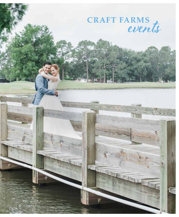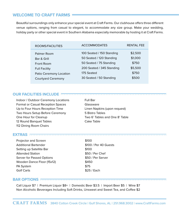# **WELCOME TO CRAFT FARMS**

Beautiful surroundings only enhance your special event at Craft Farms. Our clubhouse offers three different venue options, ranging from casual to elegant, to accommodate any size group. Make your wedding, holiday party or other special event in Southern Alabama especially memorable by hosting it at Craft Farms.

| ROOMS/FACILITIES          | <b>ACCOMMODATES</b>       | <b>RENTAL FEE</b> |
|---------------------------|---------------------------|-------------------|
| Palmer Room               | 100 Seated / 150 Standing | \$2,500           |
| Bar & Grill               | 50 Seated / 120 Standing  | \$1,000           |
| Front Room                | 50 Seated / 75 Standing   | \$750             |
| <b>Full Facility</b>      | 200 Seated / 345 Standing | \$5,500           |
| Patio Ceremony Location   | 175 Seated                | \$750             |
| <b>Courtyard Ceremony</b> | 30 Seated / 50 Standing   | \$500             |

## **OUR FACILITIES INCLUDE**

Indoor / Outdoor Ceremony Locations Formal or Casual Reception Spaces Up to Four Hours Reception Time Two Hours Setup Before Ceremony One Hour for Cleanup 12 Round Banquet Tables 112 Dining Room Chairs

Full Bar Glassware Linen Napkins (upon request) 5 Bistro Tables Two 6' Tables and One 8' Table Cake Table

## **EXTRAS**

Projector and Screen Additional Bartender Setting up Satellite Bar Attended Station Server for Passed Options Wooden Dance Floor (15x12) PA System Golf Carts

\$100 \$100 / Per 40 Guests \$100 \$50 / Per Chef \$50 / Per Server \$450 \$75 \$25 / Each

#### **BAR OPTIONS**

Call Liquor \$7 | Premium Liquor \$8+ | Domestic Beer \$3.5 | Import Beer \$5 | Wine \$7 Non Alcoholic Beverages Including Soft Drinks, Unsweet and Sweet Tea, and Coffee \$2

. . . . . . . . . . . . . .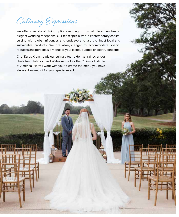Culinary Expressions

We offer a variety of dining options ranging from small plated lunches to elegant wedding receptions. Our team specializes in contemporary coastal cuisine with global influences and endeavors to use the finest local and sustainable products. We are always eager to accommodate special requests and personalize menus to your tastes, budget, or dietary concerns.

Chef Kurtis Krum heads our culinary team. He has trained under chefs from Johnson and Wales as well as the Culinary Institute of America. He will work with you to create the menu you have always dreamed of for your special event.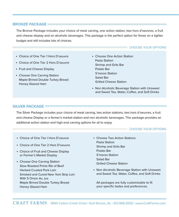## **BRONZE PACKAGE**

The Bronze Package includes your choice of meat carving, one action station, two hors d'oeuvres, a fruit and cheese display and on alcoholic beverages. This package is the perfect option for those on a tighter budget and still includes lots of choices.

## CHOOSE YOUR OPTIONS

- Choice of One Tier 1 Hors D'oeuvre
- Choice of One Tier 2 Hors D'oeuvre
- Fruit and Cheese Display
- Choose One Carving Station Maple Brined Double Turkey Breast Honey Glazed Ham

• Choose One Action Station Pasta Station Shrimp and Grits Bar Potato Bar S'mores Station Salad Bar Grilled Cheese Station

• Non Alcoholic Beverage Station with Unsweet and Sweet Tea, Water, Coffee, and Soft Drinks

## **SILVER PACKAGE**

The Silver Package includes your choice of meat carving, two action stations, two hors d'oeuvres, a fruit and cheese Display or a farmer's market station and non alcoholic beverages. This package provides an additional action station and high-end carving options for all to enjoy.

## CHOOSE YOUR OPTIONS

- Choice of One Tier I Hors D'oeuvre
- Choice of One Tier 2 Hors D'oeuvre
- Choice of Fruit and Cheese Display or Farmer's Market Display
- Choose One Carving Station Slow Roasted Prime Rib of Beef Herbed Crusted Pork Loin Smoked and Cured New York Strip Loin With 5 Onion Au Jus Maple Brined Double Turkey Breast Honey Glazed Ham
- Choose Two Action Stations Pasta Station Shrimp and Grits Bar Potato Bar S'mores Station Salad Bar Grilled Cheese Station
- Non Alcoholic Beverage Station with Unsweet and Sweet Tea, Water, Coffee, and Soft Drinks

All packages are fully customizable to fit your specific tastes and preferences.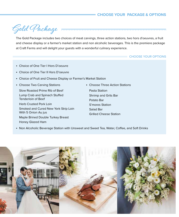# **CHOOSE YOUR PACKAGE & OPTIONS**



The Gold Package includes two choices of meat carvings, three action stations, two hors d'oeuvres, a fruit and cheese display or a farmer's market station and non alcoholic beverages. This is the premiere package at Craft Farms and will delight your guests with a wonderful culinary experience.

## **EXAMPLE CHOOSE YOUR OPTIONS**

- Choice of One Tier I Hors D'oeuvre
- Choice of One Tier II Hors D'oeuvre
- Choice of Fruit and Cheese Display or Farmer's Market Station
- Choose Two Carving Stations

Slow Roasted Prime Rib of Beef Lump Crab and Spinach Stuffed Tenderloin of Beef

Herb Crusted Pork Loin Smoked and Cured New York Strip Loin With 5 Onion Au jus

Maple Brined Double Turkey Breast Honey Glazed Ham

• Choose Three Action Stations

Pasta Station Shrimp and Grits Bar Potato Bar S'mores Station Salad Bar Grilled Cheese Station

• Non Alcoholic Beverage Station with Unsweet and Sweet Tea, Water, Coffee, and Soft Drinks

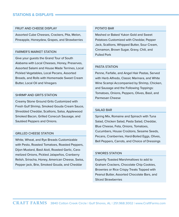## **STATIONS & DISPLAYS**

## FRUIT AND CHEESE DISPLAY

Assorted Cube Cheeses, Crackers, Pita, Melon, Pineapple, Honeydew, Grapes, and Strawberries

#### FARMER'S MARKET STATION

Give your guests the Grand Tour of South Alabama with Local Cheeses, Honey, Preserves, Assorted Salami and House Made Terrines, Local Pickled Vegetables, Local Pecans, Assorted Breads, and Rolls with Homemade Sweet Cream Butter, Local Oil and Vinegars

## SHRIMP AND GRITS STATION

Creamy Stone Ground Grits Customized with Fresh Gulf Shrimp, Smoked Gouda Cream Sauce, Shredded Cheddar, Scallions, Salsa, Applewood Smoked Bacon, Grilled Conecuh Sausage, and Sautéed Peppers and Onions.

## GRILLED CHEESE STATION

White, Wheat, and Rye Breads Customizable with Pesto, Roasted Tomatoes, Roasted Peppers, Dijon Mustard, Basil Aioli, Roasted Garlic, Caramelized Onions, Pickled Jalapeños, Cranberry Relish, Sriracha, Honey, American Cheese, Swiss, Pepper jack, Brie, Smoked Gouda, and Cheddar

#### POTATO BAR

Mashed or Baked Yukon Gold and Sweet Potatoes Customized with Cheddar, Pepper Jack, Scallions, Whipped Butter, Sour Cream, Cinnamon, Brown Sugar, Gravy, Chili, and Pulled Pork

## PASTA STATION

Penne, Farfalle, and Angel Hair Pastas, Served with Herb Alfredo, Classic Marinara, and White Wine Scampi Accompanied by Shrimp, Chicken, and Sausage and the Following Toppings: Tomatoes, Onions, Peppers, Olives, Basil, and Parmesan Cheese

## SALAD BAR

Spring Mix, Romaine and Spinach with Tuna Salad, Chicken Salad, Pasta Salad, Cheddar, Blue Cheese, Feta, Onions, Tomatoes, Cucumbers, House Croûtons, Sesame Seeds, Pecans, Cranberries, Hard-Boiled Eggs, Olives, Bell Peppers, Carrots, and Choice of Dressings

#### S'MORES STATION

Expertly Toasted Marshmallows to add to Graham Crackers, Chocolate Chip Cookies, Brownies or Rice Crispy Treats Topped with Peanut Butter, Assorted Chocolate Bars, and Sliced Strawberries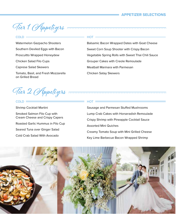# **APPETIZER SELECTIONS**

Vier 1 Appetizers

## $COID =$

Watermelon Gazpacho Shooters Southern Deviled Eggs with Bacon Proscuitto Wrapped Honeydew Chicken Salad Filo Cups Caprese Salad Skewers Tomato, Basil, and Fresh Mozzarella on Grilled Bread

## HOT

Balsamic Bacon Wrapped Dates with Goat Cheese Sweet Corn Soup Shooter with Crispy Bacon Vegetable Spring Rolls with Sweet Thai Chili Sauce Grouper Cakes with Creole Remoulade Meatball Marinara with Parmesan Chicken Satay Skewers

Vier 2 Appetizers

## $COLD =$

Shrimp Cocktail Martini Smoked Salmon Filo Cup with Cream Cheese and Crispy Capers Roasted Garlic Hummus in Filo Cup Seared Tuna over Ginger Salad Cold Crab Salad With Avocado

## $HOT \longrightarrow$

Sausage and Parmesan Stuffed Mushrooms Lump Crab Cakes with Horseradish Remoulade Crispy Shrimp with Pineapple Cocktail Sauce Assorted Mini Quiches Creamy Tomato Soup with Mini Grilled Cheese Key Lime Barbecue Bacon Wrapped Shrimp